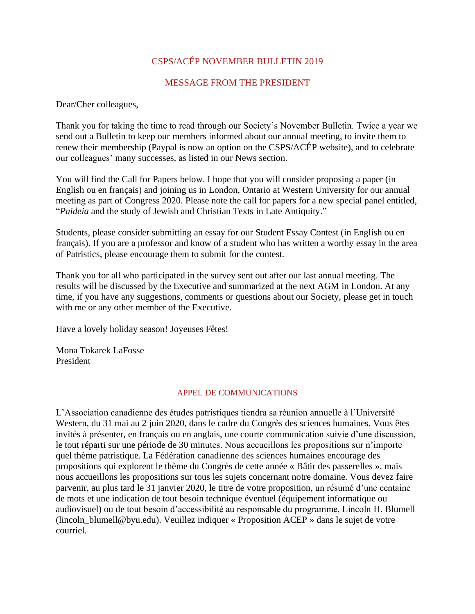# CSPS/ACÉP NOVEMBER BULLETIN 2019

## MESSAGE FROM THE PRESIDENT

Dear/Cher colleagues,

Thank you for taking the time to read through our Society's November Bulletin. Twice a year we send out a Bulletin to keep our members informed about our annual meeting, to invite them to renew their membership (Paypal is now an option on the CSPS/ACÉP website), and to celebrate our colleagues' many successes, as listed in our News section.

You will find the Call for Papers below. I hope that you will consider proposing a paper (in English ou en français) and joining us in London, Ontario at Western University for our annual meeting as part of Congress 2020. Please note the call for papers for a new special panel entitled, "*Paideia* and the study of Jewish and Christian Texts in Late Antiquity."

Students, please consider submitting an essay for our Student Essay Contest (in English ou en français). If you are a professor and know of a student who has written a worthy essay in the area of Patristics, please encourage them to submit for the contest.

Thank you for all who participated in the survey sent out after our last annual meeting. The results will be discussed by the Executive and summarized at the next AGM in London. At any time, if you have any suggestions, comments or questions about our Society, please get in touch with me or any other member of the Executive.

Have a lovely holiday season! Joyeuses Fêtes!

Mona Tokarek LaFosse President

### APPEL DE COMMUNICATIONS

L'Association canadienne des études patristiques tiendra sa réunion annuelle à l'Université Western, du 31 mai au 2 juin 2020, dans le cadre du Congrès des sciences humaines. Vous êtes invités à présenter, en français ou en anglais, une courte communication suivie d'une discussion, le tout réparti sur une période de 30 minutes. Nous accueillons les propositions sur n'importe quel thème patristique. La Fédération canadienne des sciences humaines encourage des propositions qui explorent le thème du Congrès de cette année « Bâtir des passerelles », mais nous accueillons les propositions sur tous les sujets concernant notre domaine. Vous devez faire parvenir, au plus tard le 31 janvier 2020, le titre de votre proposition, un résumé d'une centaine de mots et une indication de tout besoin technique éventuel (équipement informatique ou audiovisuel) ou de tout besoin d'accessibilité au responsable du programme, Lincoln H. Blumell (lincoln\_blumell@byu.edu). Veuillez indiquer « Proposition ACEP » dans le sujet de votre courriel.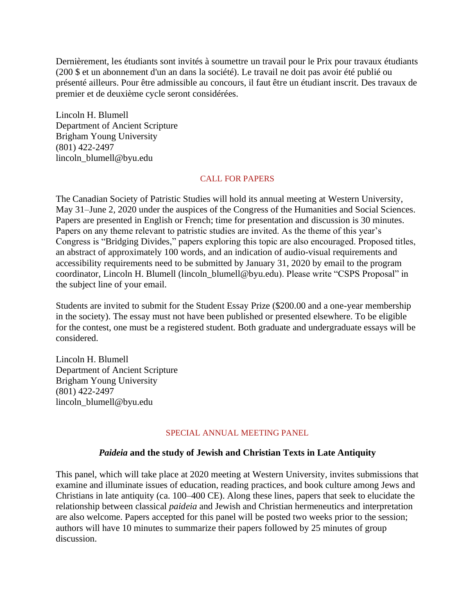Dernièrement, les étudiants sont invités à soumettre un travail pour le Prix pour travaux étudiants (200 \$ et un abonnement d'un an dans la société). Le travail ne doit pas avoir été publié ou présenté ailleurs. Pour être admissible au concours, il faut être un étudiant inscrit. Des travaux de premier et de deuxième cycle seront considérées.

Lincoln H. Blumell Department of Ancient Scripture Brigham Young University (801) 422-2497 lincoln\_blumell@byu.edu

## CALL FOR PAPERS

The Canadian Society of Patristic Studies will hold its annual meeting at Western University, May 31–June 2, 2020 under the auspices of the Congress of the Humanities and Social Sciences. Papers are presented in English or French; time for presentation and discussion is 30 minutes. Papers on any theme relevant to patristic studies are invited. As the theme of this year's Congress is "Bridging Divides," papers exploring this topic are also encouraged. Proposed titles, an abstract of approximately 100 words, and an indication of audio-visual requirements and accessibility requirements need to be submitted by January 31, 2020 by email to the program coordinator, Lincoln H. Blumell (lincoln\_blumell@byu.edu). Please write "CSPS Proposal" in the subject line of your email.

Students are invited to submit for the Student Essay Prize (\$200.00 and a one-year membership in the society). The essay must not have been published or presented elsewhere. To be eligible for the contest, one must be a registered student. Both graduate and undergraduate essays will be considered.

Lincoln H. Blumell Department of Ancient Scripture Brigham Young University (801) 422-2497 lincoln\_blumell@byu.edu

## SPECIAL ANNUAL MEETING PANEL

# *Paideia* **and the study of Jewish and Christian Texts in Late Antiquity**

This panel, which will take place at 2020 meeting at Western University, invites submissions that examine and illuminate issues of education, reading practices, and book culture among Jews and Christians in late antiquity (ca. 100–400 CE). Along these lines, papers that seek to elucidate the relationship between classical *paideia* and Jewish and Christian hermeneutics and interpretation are also welcome. Papers accepted for this panel will be posted two weeks prior to the session; authors will have 10 minutes to summarize their papers followed by 25 minutes of group discussion.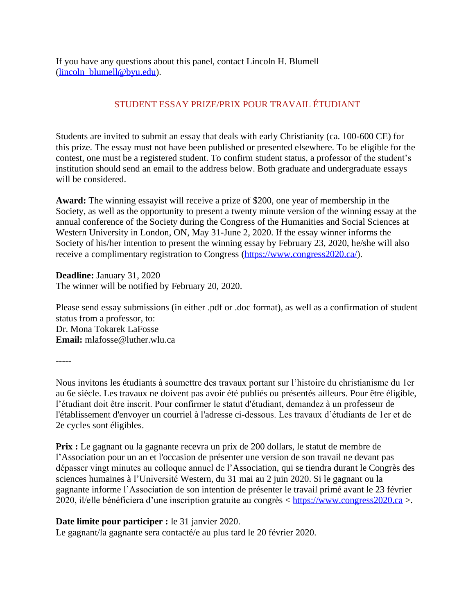If you have any questions about this panel, contact Lincoln H. Blumell [\(lincoln\\_blumell@byu.edu\)](mailto:lincoln_blumell@byu.edu).

# STUDENT ESSAY PRIZE/PRIX POUR TRAVAIL ÉTUDIANT

Students are invited to submit an essay that deals with early Christianity (ca. 100-600 CE) for this prize. The essay must not have been published or presented elsewhere. To be eligible for the contest, one must be a registered student. To confirm student status, a professor of the student's institution should send an email to the address below. Both graduate and undergraduate essays will be considered.

**Award:** The winning essayist will receive a prize of \$200, one year of membership in the Society, as well as the opportunity to present a twenty minute version of the winning essay at the annual conference of the Society during the Congress of the Humanities and Social Sciences at Western University in London, ON, May 31-June 2, 2020. If the essay winner informs the Society of his/her intention to present the winning essay by February 23, 2020, he/she will also receive a complimentary registration to Congress [\(https://www.congress2020.ca/\)](https://www.congress2020.ca/).

**Deadline:** January 31, 2020 The winner will be notified by February 20, 2020.

Please send essay submissions (in either .pdf or .doc format), as well as a confirmation of student status from a professor, to: Dr. Mona Tokarek LaFosse **Email:** mlafosse@luther.wlu.ca

-----

Nous invitons les étudiants à soumettre des travaux portant sur l'histoire du christianisme du 1er au 6e siècle. Les travaux ne doivent pas avoir été publiés ou présentés ailleurs. Pour être éligible, l'étudiant doit être inscrit. Pour confirmer le statut d'étudiant, demandez à un professeur de l'établissement d'envoyer un courriel à l'adresse ci-dessous. Les travaux d'étudiants de 1er et de 2e cycles sont éligibles.

**Prix :** Le gagnant ou la gagnante recevra un prix de 200 dollars, le statut de membre de l'Association pour un an et l'occasion de présenter une version de son travail ne devant pas dépasser vingt minutes au colloque annuel de l'Association, qui se tiendra durant le Congrès des sciences humaines à l'Université Western, du 31 mai au 2 juin 2020. Si le gagnant ou la gagnante informe l'Association de son intention de présenter le travail primé avant le 23 février 2020, il/elle bénéficiera d'une inscription gratuite au congrès < [https://www.congress2020.ca](https://www.congress2020.ca/) >.

# **Date limite pour participer :** le 31 janvier 2020.

Le gagnant/la gagnante sera contacté/e au plus tard le 20 février 2020.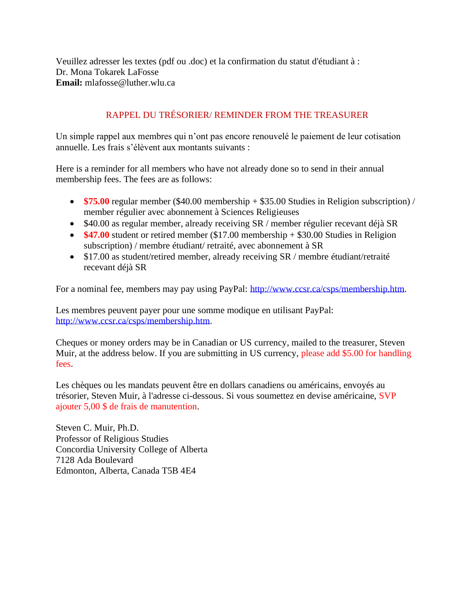Veuillez adresser les textes (pdf ou .doc) et la confirmation du statut d'étudiant à : Dr. Mona Tokarek LaFosse **Email:** mlafosse@luther.wlu.ca

# RAPPEL DU TRÉSORIER/ REMINDER FROM THE TREASURER

Un simple rappel aux membres qui n'ont pas encore renouvelé le paiement de leur cotisation annuelle. Les frais s'élèvent aux montants suivants :

Here is a reminder for all members who have not already done so to send in their annual membership fees. The fees are as follows:

- **\$75.00** regular member (\$40.00 membership + \$35.00 Studies in Religion subscription) / member régulier avec abonnement à Sciences Religieuses
- \$40.00 as regular member, already receiving SR / member régulier recevant déjà SR
- **\$47.00** student or retired member (\$17.00 membership + \$30.00 Studies in Religion subscription) / membre étudiant/ retraité, avec abonnement à SR
- \$17.00 as student/retired member, already receiving SR / membre étudiant/retraité recevant déjà SR

For a nominal fee, members may pay using PayPal: [http://www.ccsr.ca/csps/membership.htm.](http://www.ccsr.ca/csps/membership.htm)

Les membres peuvent payer pour une somme modique en utilisant PayPal: [http://www.ccsr.ca/csps/membership.htm.](http://www.ccsr.ca/csps/membership.htm)

Cheques or money orders may be in Canadian or US currency, mailed to the treasurer, Steven Muir, at the address below. If you are submitting in US currency, please add \$5.00 for handling fees.

Les chèques ou les mandats peuvent être en dollars canadiens ou américains, envoyés au trésorier, Steven Muir, à l'adresse ci-dessous. Si vous soumettez en devise américaine, SVP ajouter 5,00 \$ de frais de manutention.

Steven C. Muir, Ph.D. Professor of Religious Studies Concordia University College of Alberta 7128 Ada Boulevard Edmonton, Alberta, Canada T5B 4E4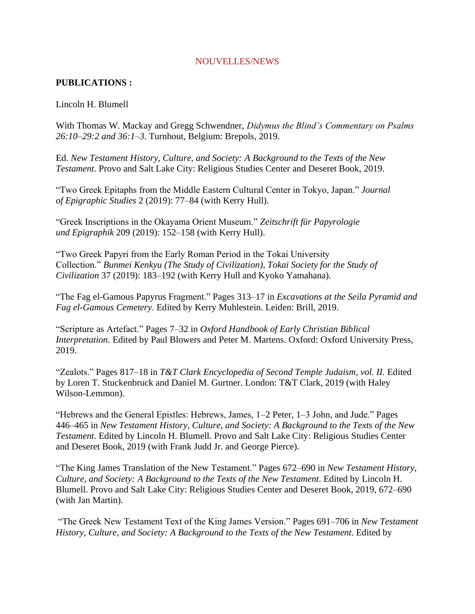### NOUVELLES/NEWS

## **PUBLICATIONS :**

## Lincoln H. Blumell

With Thomas W. Mackay and Gregg Schwendner, *Didymus the Blind's Commentary on Psalms 26:10–29:2 and 36:1–3*. Turnhout, Belgium: Brepols, 2019.

Ed. *New Testament History, Culture, and Society: A Background to the Texts of the New Testament*. Provo and Salt Lake City: Religious Studies Center and Deseret Book, 2019.

"Two Greek Epitaphs from the Middle Eastern Cultural Center in Tokyo, Japan." *Journal of Epigraphic Studies* 2 (2019): 77–84 (with Kerry Hull).

"Greek Inscriptions in the Okayama Orient Museum." *Zeitschrift für Papyrologie und Epigraphik* 209 (2019): 152–158 (with Kerry Hull).

"Two Greek Papyri from the Early Roman Period in the Tokai University Collection." *Bunmei Kenkyu (The Study of Civilization), Tokai Society for the Study of Civilization* 37 (2019): 183–192 (with Kerry Hull and Kyoko Yamahana).

"The Fag el-Gamous Papyrus Fragment." Pages 313–17 in *Excavations at the Seila Pyramid and Fag el-Gamous Cemetery*. Edited by Kerry Muhlestein. Leiden: Brill, 2019.

"Scripture as Artefact." Pages 7–32 in *Oxford Handbook of Early Christian Biblical Interpretation*. Edited by Paul Blowers and Peter M. Martens. Oxford: Oxford University Press, 2019.

"Zealots." Pages 817–18 in *T&T Clark Encyclopedia of Second Temple Judaism, vol. II.* Edited by Loren T. Stuckenbruck and Daniel M. Gurtner. London: T&T Clark, 2019 (with Haley Wilson-Lemmon).

"Hebrews and the General Epistles: Hebrews, James, 1–2 Peter, 1–3 John, and Jude." Pages 446–465 in *New Testament History, Culture, and Society: A Background to the Texts of the New Testament*. Edited by Lincoln H. Blumell. Provo and Salt Lake City: Religious Studies Center and Deseret Book, 2019 (with Frank Judd Jr. and George Pierce).

"The King James Translation of the New Testament." Pages 672–690 in *New Testament History, Culture, and Society: A Background to the Texts of the New Testament*. Edited by Lincoln H. Blumell. Provo and Salt Lake City: Religious Studies Center and Deseret Book, 2019, 672–690 (with Jan Martin).

"The Greek New Testament Text of the King James Version." Pages 691–706 in *New Testament History, Culture, and Society: A Background to the Texts of the New Testament*. Edited by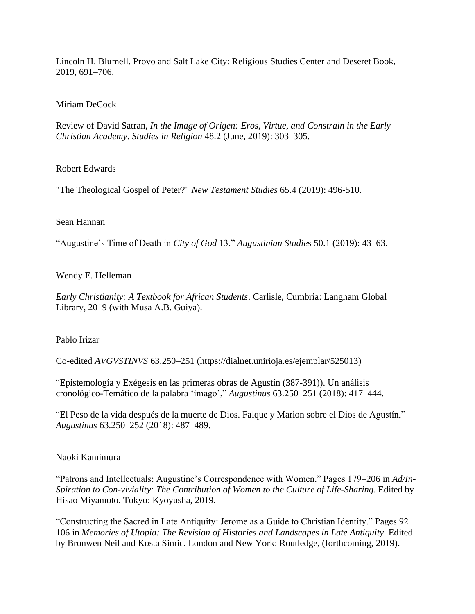Lincoln H. Blumell. Provo and Salt Lake City: Religious Studies Center and Deseret Book, 2019, 691–706.

Miriam DeCock

Review of David Satran, *In the Image of Origen: Eros, Virtue, and Constrain in the Early Christian Academy*. *Studies in Religion* 48.2 (June, 2019): 303–305.

Robert Edwards

"The Theological Gospel of Peter?" *New Testament Studies* 65.4 (2019): 496-510.

Sean Hannan

"Augustine's Time of Death in *City of God* 13." *Augustinian Studies* 50.1 (2019): 43–63.

Wendy E. Helleman

*Early Christianity: A Textbook for African Students*. Carlisle, Cumbria: Langham Global Library, 2019 (with Musa A.B. Guiya).

Pablo Irizar

Co-edited *AVGVSTINVS* 63.250–251 [\(https://dialnet.unirioja.es/ejemplar/525013\)](https://dialnet.unirioja.es/ejemplar/525013)

"Epistemología y Exégesis en las primeras obras de Agustín (387-391)). Un análisis cronológico-Temático de la palabra 'imago'," *Augustinus* 63.250–251 (2018): 417–444.

"El Peso de la vida después de la muerte de Dios. Falque y Marion sobre el Dios de Agustín," *Augustinus* 63.250–252 (2018): 487–489.

Naoki Kamimura

"Patrons and Intellectuals: Augustine's Correspondence with Women." Pages 179–206 in *Ad/In-Spiration to Con-viviality: The Contribution of Women to the Culture of Life-Sharing*. Edited by Hisao Miyamoto. Tokyo: Kyoyusha, 2019.

"Constructing the Sacred in Late Antiquity: Jerome as a Guide to Christian Identity." Pages 92– 106 in *Memories of Utopia: The Revision of Histories and Landscapes in Late Antiquity*. Edited by Bronwen Neil and Kosta Simic. London and New York: Routledge, (forthcoming, 2019).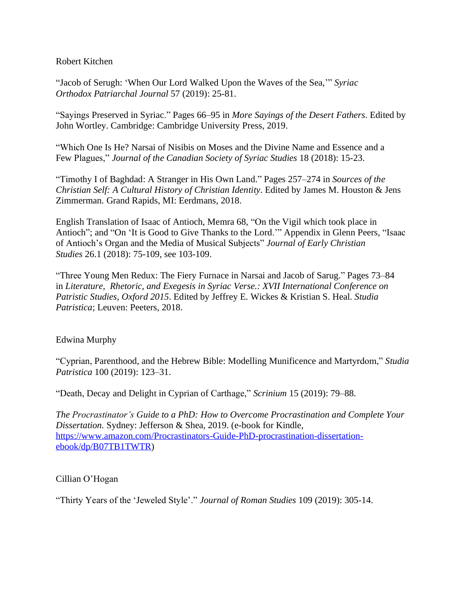Robert Kitchen

"Jacob of Serugh: 'When Our Lord Walked Upon the Waves of the Sea,'" *Syriac Orthodox Patriarchal Journal* 57 (2019): 25-81.

"Sayings Preserved in Syriac." Pages 66–95 in *More Sayings of the Desert Fathers*. Edited by John Wortley. Cambridge: Cambridge University Press, 2019.

"Which One Is He? Narsai of Nisibis on Moses and the Divine Name and Essence and a Few Plagues," *Journal of the Canadian Society of Syriac Studies* 18 (2018): 15-23.

"Timothy I of Baghdad: A Stranger in His Own Land." Pages 257–274 in *Sources of the Christian Self: A Cultural History of Christian Identity*. Edited by James M. Houston & Jens Zimmerman. Grand Rapids, MI: Eerdmans, 2018.

English Translation of Isaac of Antioch, Memra 68, "On the Vigil which took place in Antioch"; and "On 'It is Good to Give Thanks to the Lord.'" Appendix in Glenn Peers, "Isaac of Antioch's Organ and the Media of Musical Subjects" *Journal of Early Christian Studies* 26.1 (2018): 75-109, see 103-109.

"Three Young Men Redux: The Fiery Furnace in Narsai and Jacob of Sarug." Pages 73–84 in *Literature, Rhetoric, and Exegesis in Syriac Verse.: XVII International Conference on Patristic Studies, Oxford 2015*. Edited by Jeffrey E. Wickes & Kristian S. Heal. *Studia Patristica*; Leuven: Peeters, 2018.

## Edwina Murphy

"Cyprian, Parenthood, and the Hebrew Bible: Modelling Munificence and Martyrdom," *Studia Patristica* 100 (2019): 123–31.

"Death, Decay and Delight in Cyprian of Carthage," *Scrinium* 15 (2019): 79–88.

*The Procrastinator's Guide to a PhD: How to Overcome Procrastination and Complete Your Dissertation.* Sydney: Jefferson & Shea, 2019. (e-book for Kindle, [https://www.amazon.com/Procrastinators-Guide-PhD-procrastination-dissertation](https://www.amazon.com/Procrastinators-Guide-PhD-procrastination-dissertation-ebook/dp/B07TB1TWTR)[ebook/dp/B07TB1TWTR\)](https://www.amazon.com/Procrastinators-Guide-PhD-procrastination-dissertation-ebook/dp/B07TB1TWTR)

## Cillian O'Hogan

"Thirty Years of the 'Jeweled Style'." *Journal of Roman Studies* 109 (2019): 305-14.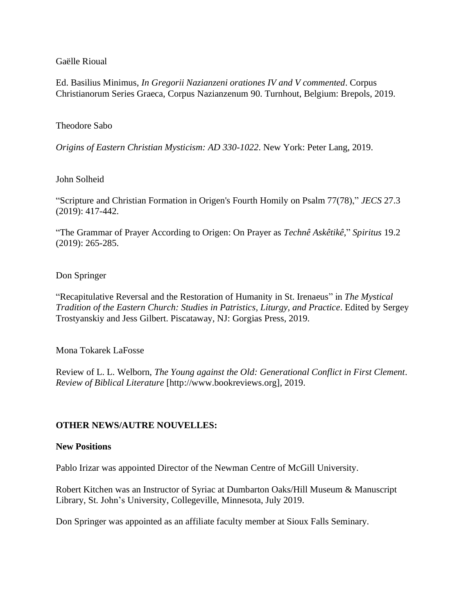Gaëlle Rioual

Ed. Basilius Minimus, *In Gregorii Nazianzeni orationes IV and V commented*. Corpus Christianorum Series Graeca, Corpus Nazianzenum 90. Turnhout, Belgium: Brepols, 2019.

### Theodore Sabo

*Origins of Eastern Christian Mysticism: AD 330-1022*. New York: Peter Lang, 2019.

### John Solheid

"Scripture and Christian Formation in Origen's Fourth Homily on Psalm 77(78)," *JECS* 27.3 (2019): 417-442.

"The Grammar of Prayer According to Origen: On Prayer as *Technê Askêtikê*," *Spiritus* 19.2 (2019): 265-285.

## Don Springer

"Recapitulative Reversal and the Restoration of Humanity in St. Irenaeus" in *The Mystical Tradition of the Eastern Church: Studies in Patristics, Liturgy, and Practice*. Edited by Sergey Trostyanskiy and Jess Gilbert. Piscataway, NJ: Gorgias Press, 2019.

Mona Tokarek LaFosse

Review of L. L. Welborn, *The Young against the Old: Generational Conflict in First Clement*. *Review of Biblical Literature* [http://www.bookreviews.org], 2019.

## **OTHER NEWS/AUTRE NOUVELLES:**

#### **New Positions**

Pablo Irizar was appointed Director of the Newman Centre of McGill University.

Robert Kitchen was an Instructor of Syriac at Dumbarton Oaks/Hill Museum & Manuscript Library, St. John's University, Collegeville, Minnesota, July 2019.

Don Springer was appointed as an affiliate faculty member at Sioux Falls Seminary.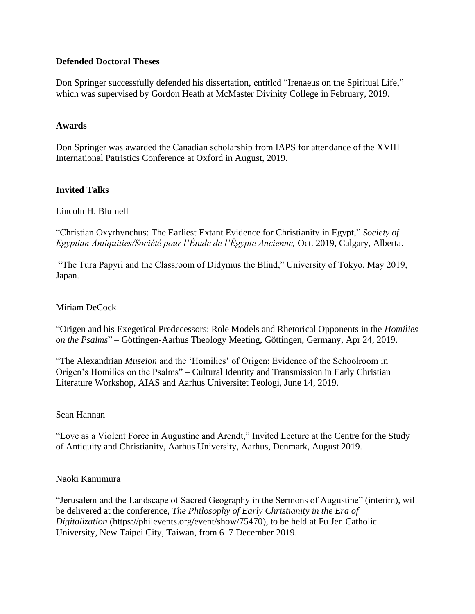# **Defended Doctoral Theses**

Don Springer successfully defended his dissertation, entitled "Irenaeus on the Spiritual Life," which was supervised by Gordon Heath at McMaster Divinity College in February, 2019.

## **Awards**

Don Springer was awarded the Canadian scholarship from IAPS for attendance of the XVIII International Patristics Conference at Oxford in August, 2019.

## **Invited Talks**

Lincoln H. Blumell

"Christian Oxyrhynchus: The Earliest Extant Evidence for Christianity in Egypt," *Society of Egyptian Antiquities/Société pour l'Étude de l'Égypte Ancienne,* Oct. 2019, Calgary, Alberta.

"The Tura Papyri and the Classroom of Didymus the Blind," University of Tokyo, May 2019, Japan.

### Miriam DeCock

"Origen and his Exegetical Predecessors: Role Models and Rhetorical Opponents in the *Homilies on the Psalms*" – Göttingen-Aarhus Theology Meeting, Göttingen, Germany, Apr 24, 2019.

"The Alexandrian *Museion* and the 'Homilies' of Origen: Evidence of the Schoolroom in Origen's Homilies on the Psalms" – Cultural Identity and Transmission in Early Christian Literature Workshop, AIAS and Aarhus Universitet Teologi, June 14, 2019.

### Sean Hannan

"Love as a Violent Force in Augustine and Arendt," Invited Lecture at the Centre for the Study of Antiquity and Christianity, Aarhus University, Aarhus, Denmark, August 2019.

### Naoki Kamimura

"Jerusalem and the Landscape of Sacred Geography in the Sermons of Augustine" (interim), will be delivered at the conference, *The Philosophy of Early Christianity in the Era of Digitalization* [\(https://philevents.org/event/show/75470\)](https://philevents.org/event/show/75470), to be held at Fu Jen Catholic University, New Taipei City, Taiwan, from 6–7 December 2019.